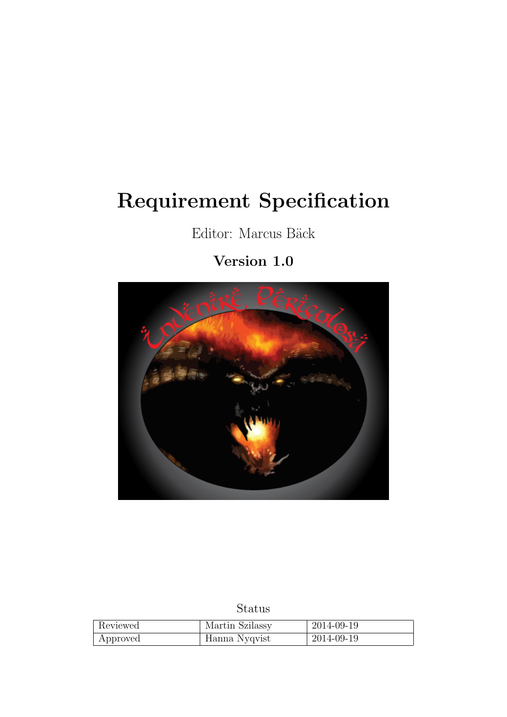# Requirement Specification

Editor: Marcus Bäck

## Version 1.0



## Status

| Reviewed | Martin Szilassy | 2014-09-19 |
|----------|-----------------|------------|
| Approved | Hanna Nyqvist   | 2014-09-19 |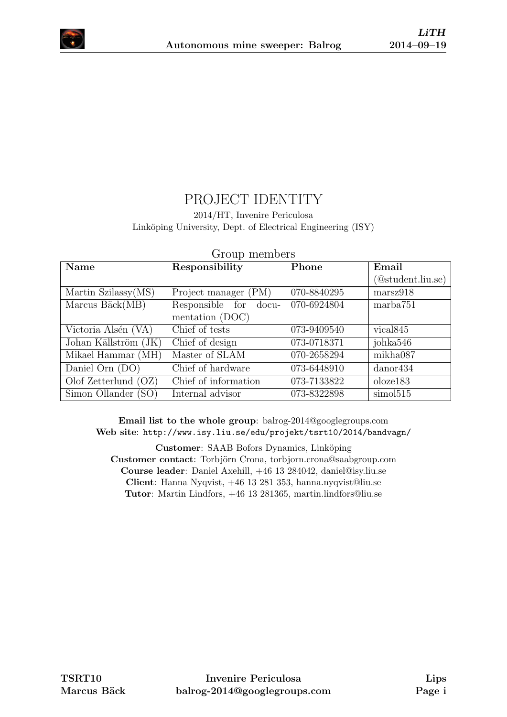

## PROJECT IDENTITY

#### 2014/HT, Invenire Periculosa Linköping University, Dept. of Electrical Engineering (ISY)

| Name                                       | Responsibility        | Phone       | Email                |
|--------------------------------------------|-----------------------|-------------|----------------------|
|                                            |                       |             | (@student.liu.se)    |
| Martin Szilassy(MS)                        | Project manager (PM)  | 070-8840295 | marsz918             |
| Marcus Bäck(MB)                            | Responsible for docu- | 070-6924804 | marba751             |
|                                            | mentation (DOC)       |             |                      |
| Victoria Alsén (VA)                        | Chief of tests        | 073-9409540 | vical <sub>845</sub> |
| Johan Källström (JK)                       | Chief of design       | 073-0718371 | johka <sub>546</sub> |
| Mikael Hammar (MH)                         | Master of SLAM        | 070-2658294 | mikha087             |
| Daniel $\overline{O}$ rn $(D\overline{O})$ | Chief of hardware     | 073-6448910 | $d$ anor $434$       |
| Olof Zetterlund $(OZ)$                     | Chief of information  | 073-7133822 | olozel83             |
| Simon Ollander (SO)                        | Internal advisor      | 073-8322898 | simol515             |

#### Group members

Email list to the whole group: balrog-2014@googlegroups.com Web site: <http://www.isy.liu.se/edu/projekt/tsrt10/2014/bandvagn/>

Customer: SAAB Bofors Dynamics, Linköping Customer contact: Torbjörn Crona, torbjorn.crona@saabgroup.com Course leader: Daniel Axehill, +46 13 284042, daniel@isy.liu.se Client: Hanna Nyqvist, +46 13 281 353, hanna.nyqvist@liu.se Tutor: Martin Lindfors, +46 13 281365, martin.lindfors@liu.se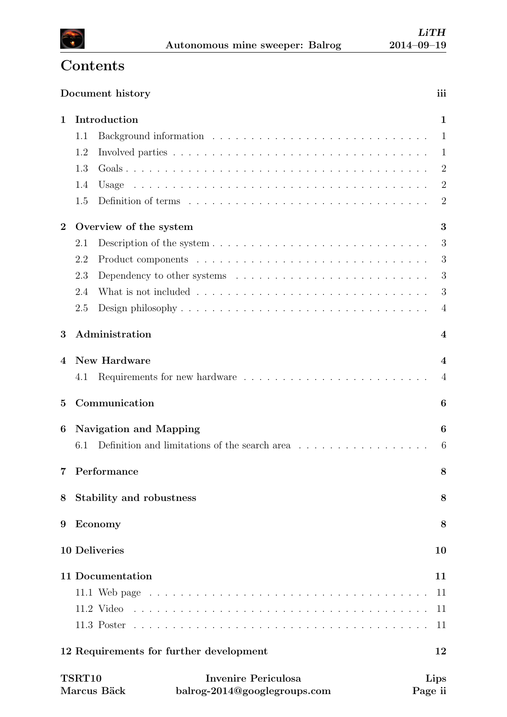

## <span id="page-2-0"></span>**Contents**

|                  |        | Document history                              | iii                     |
|------------------|--------|-----------------------------------------------|-------------------------|
| 1                |        | Introduction                                  | $\mathbf{1}$            |
|                  | 1.1    |                                               | 1                       |
|                  | 1.2    |                                               | $\mathbf{1}$            |
|                  | 1.3    |                                               | $\overline{2}$          |
|                  | 1.4    |                                               | $\overline{2}$          |
|                  | 1.5    |                                               | $\overline{2}$          |
| $\boldsymbol{2}$ |        | Overview of the system                        | 3                       |
|                  | 2.1    |                                               | 3                       |
|                  | 2.2    |                                               | 3                       |
|                  | 2.3    |                                               | 3                       |
|                  | 2.4    |                                               | 3                       |
|                  | 2.5    |                                               | $\overline{4}$          |
| 3                |        | Administration                                | $\overline{4}$          |
| 4                |        | New Hardware                                  | $\overline{\mathbf{4}}$ |
|                  | 4.1    |                                               | $\overline{4}$          |
| $\overline{5}$   |        | Communication                                 | 6                       |
| 6                |        | <b>Navigation and Mapping</b>                 | 6                       |
|                  | 6.1    | Definition and limitations of the search area | 6                       |
|                  |        | 7 Performance                                 | 8                       |
| 8                |        | Stability and robustness                      | 8                       |
| 9                |        | Economy                                       | 8                       |
|                  |        | <b>10 Deliveries</b>                          | 10                      |
|                  |        | 11 Documentation                              | 11                      |
|                  |        |                                               | 11                      |
|                  |        | $11.2$ Video                                  | 11                      |
|                  |        |                                               | 11                      |
|                  |        | 12 Requirements for further development       | 12                      |
|                  | TSRT10 | <b>Invenire Periculosa</b>                    | Lips                    |
|                  |        | Marcus Bäck<br>balrog-2014@googlegroups.com   | Page ii                 |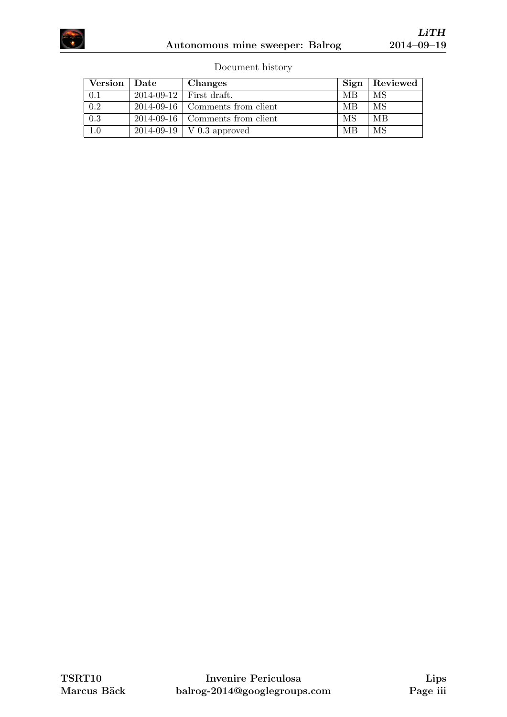

Document history

| $\rm Version$ | Date | Changes                           | Sign | Reviewed |
|---------------|------|-----------------------------------|------|----------|
| 0.1           |      | $2014-09-12$ First draft.         | MB   | MS       |
| 0.2           |      | $2014-09-16$ Comments from client | MВ   | MS       |
| 0.3           |      | $2014-09-16$ Comments from client | MS   | MВ       |
| 1.0           |      | 2014-09-19   V 0.3 approved       | MВ   | MS       |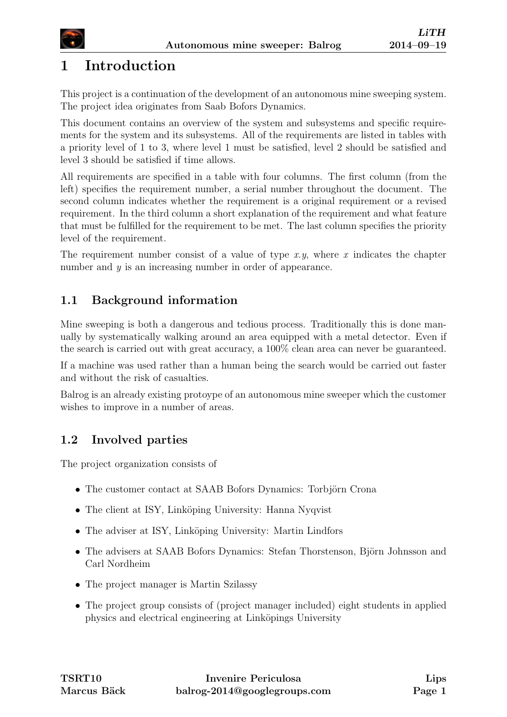

## <span id="page-4-0"></span>1 Introduction

This project is a continuation of the development of an autonomous mine sweeping system. The project idea originates from Saab Bofors Dynamics.

This document contains an overview of the system and subsystems and specific requirements for the system and its subsystems. All of the requirements are listed in tables with a priority level of 1 to 3, where level 1 must be satisfied, level 2 should be satisfied and level 3 should be satisfied if time allows.

All requirements are specified in a table with four columns. The first column (from the left) specifies the requirement number, a serial number throughout the document. The second column indicates whether the requirement is a original requirement or a revised requirement. In the third column a short explanation of the requirement and what feature that must be fulfilled for the requirement to be met. The last column specifies the priority level of the requirement.

The requirement number consist of a value of type  $x, y$ , where  $x$  indicates the chapter number and y is an increasing number in order of appearance.

### <span id="page-4-1"></span>1.1 Background information

Mine sweeping is both a dangerous and tedious process. Traditionally this is done manually by systematically walking around an area equipped with a metal detector. Even if the search is carried out with great accuracy, a 100% clean area can never be guaranteed.

If a machine was used rather than a human being the search would be carried out faster and without the risk of casualties.

Balrog is an already existing protoype of an autonomous mine sweeper which the customer wishes to improve in a number of areas.

### <span id="page-4-2"></span>1.2 Involved parties

The project organization consists of

- The customer contact at SAAB Bofors Dynamics: Torbjörn Crona
- The client at ISY, Linköping University: Hanna Nyqvist
- The adviser at ISY, Linköping University: Martin Lindfors
- The advisers at SAAB Bofors Dynamics: Stefan Thorstenson, Björn Johnsson and Carl Nordheim
- The project manager is Martin Szilassy
- The project group consists of (project manager included) eight students in applied physics and electrical engineering at Linköpings University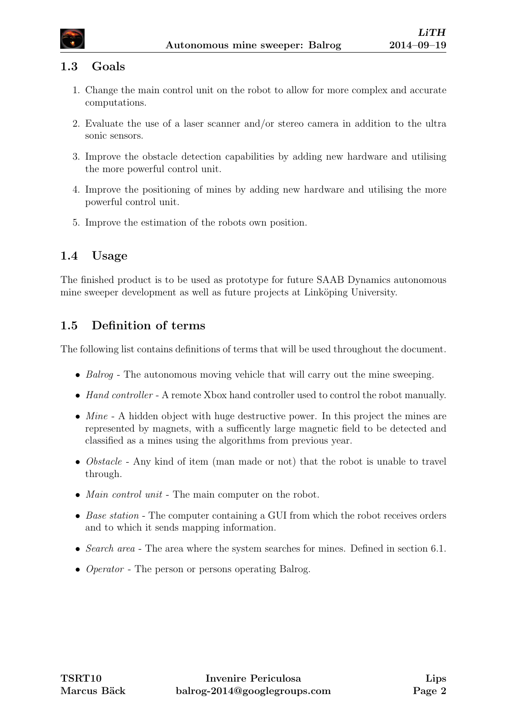

#### <span id="page-5-0"></span>1.3 Goals

- 1. Change the main control unit on the robot to allow for more complex and accurate computations.
- 2. Evaluate the use of a laser scanner and/or stereo camera in addition to the ultra sonic sensors.
- 3. Improve the obstacle detection capabilities by adding new hardware and utilising the more powerful control unit.
- 4. Improve the positioning of mines by adding new hardware and utilising the more powerful control unit.
- 5. Improve the estimation of the robots own position.

### <span id="page-5-1"></span>1.4 Usage

The finished product is to be used as prototype for future SAAB Dynamics autonomous mine sweeper development as well as future projects at Linköping University.

### <span id="page-5-2"></span>1.5 Definition of terms

The following list contains definitions of terms that will be used throughout the document.

- Balrog The autonomous moving vehicle that will carry out the mine sweeping.
- Hand controller A remote Xbox hand controller used to control the robot manually.
- Mine A hidden object with huge destructive power. In this project the mines are represented by magnets, with a sufficently large magnetic field to be detected and classified as a mines using the algorithms from previous year.
- *Obstacle* Any kind of item (man made or not) that the robot is unable to travel through.
- Main control unit The main computer on the robot.
- Base station The computer containing a GUI from which the robot receives orders and to which it sends mapping information.
- Search area The area where the system searches for mines. Defined in section [6.1.](#page-9-2)
- *Operator* The person or persons operating Balrog.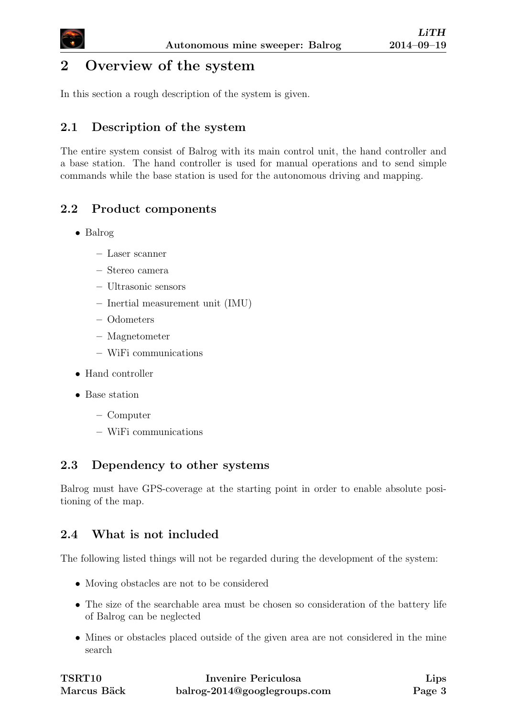

## <span id="page-6-0"></span>2 Overview of the system

In this section a rough description of the system is given.

#### <span id="page-6-1"></span>2.1 Description of the system

The entire system consist of Balrog with its main control unit, the hand controller and a base station. The hand controller is used for manual operations and to send simple commands while the base station is used for the autonomous driving and mapping.

### <span id="page-6-2"></span>2.2 Product components

- Balrog
	- Laser scanner
	- Stereo camera
	- Ultrasonic sensors
	- Inertial measurement unit (IMU)
	- Odometers
	- Magnetometer
	- WiFi communications
- Hand controller
- Base station
	- Computer
	- WiFi communications

### <span id="page-6-3"></span>2.3 Dependency to other systems

Balrog must have GPS-coverage at the starting point in order to enable absolute positioning of the map.

### <span id="page-6-4"></span>2.4 What is not included

The following listed things will not be regarded during the development of the system:

- Moving obstacles are not to be considered
- The size of the searchable area must be chosen so consideration of the battery life of Balrog can be neglected
- Mines or obstacles placed outside of the given area are not considered in the mine search

| <b>TSRT10</b> | Invenire Periculosa          | Lips   |
|---------------|------------------------------|--------|
| Marcus Bäck   | balrog-2014@googlegroups.com | Page 3 |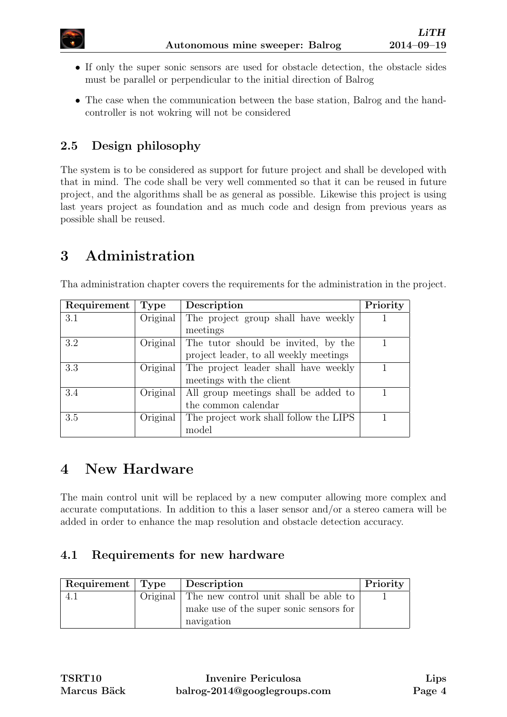

- If only the super sonic sensors are used for obstacle detection, the obstacle sides must be parallel or perpendicular to the initial direction of Balrog
- The case when the communication between the base station, Balrog and the handcontroller is not wokring will not be considered

### <span id="page-7-0"></span>2.5 Design philosophy

The system is to be considered as support for future project and shall be developed with that in mind. The code shall be very well commented so that it can be reused in future project, and the algorithms shall be as general as possible. Likewise this project is using last years project as foundation and as much code and design from previous years as possible shall be reused.

## <span id="page-7-1"></span>3 Administration

Tha administration chapter covers the requirements for the administration in the project.

| Requirement | <b>Type</b> | Description                            | Priority |
|-------------|-------------|----------------------------------------|----------|
| 3.1         | Original    | The project group shall have weekly    |          |
|             |             | meetings                               |          |
| 3.2         | Original    | The tutor should be invited, by the    |          |
|             |             | project leader, to all weekly meetings |          |
| 3.3         | Original    | The project leader shall have weekly   |          |
|             |             | meetings with the client               |          |
| 3.4         | Original    | All group meetings shall be added to   |          |
|             |             | the common calendar                    |          |
| 3.5         | Original    | The project work shall follow the LIPS |          |
|             |             | model                                  |          |

## <span id="page-7-2"></span>4 New Hardware

The main control unit will be replaced by a new computer allowing more complex and accurate computations. In addition to this a laser sensor and/or a stereo camera will be added in order to enhance the map resolution and obstacle detection accuracy.

### <span id="page-7-3"></span>4.1 Requirements for new hardware

| Requirement   Type | Description                                    | Priority |
|--------------------|------------------------------------------------|----------|
|                    | Original The new control unit shall be able to |          |
|                    | make use of the super sonic sensors for        |          |
|                    | navigation                                     |          |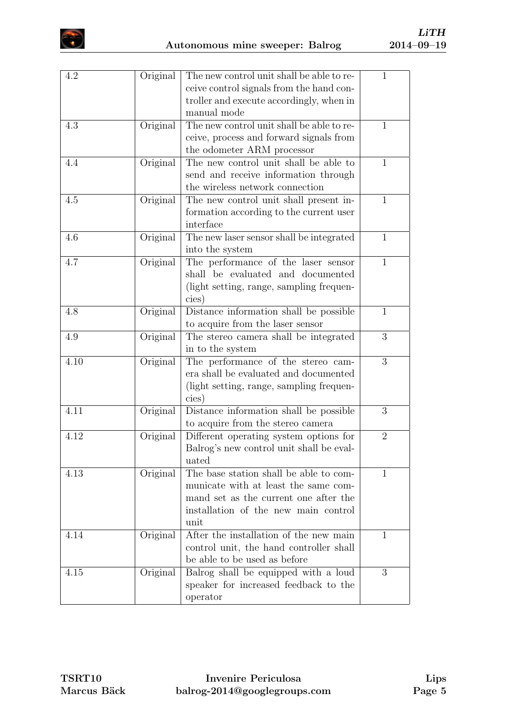

| 4.2  | Original | The new control unit shall be able to re-<br>ceive control signals from the hand con-<br>troller and execute accordingly, when in<br>manual mode                        | 1              |
|------|----------|-------------------------------------------------------------------------------------------------------------------------------------------------------------------------|----------------|
| 4.3  | Original | The new control unit shall be able to re-<br>ceive, process and forward signals from<br>the odometer ARM processor                                                      | $\mathbf{1}$   |
| 4.4  | Original | The new control unit shall be able to<br>send and receive information through<br>the wireless network connection                                                        | $\mathbf{1}$   |
| 4.5  | Original | The new control unit shall present in-<br>formation according to the current user<br>interface                                                                          | $\mathbf{1}$   |
| 4.6  | Original | The new laser sensor shall be integrated<br>into the system                                                                                                             | 1              |
| 4.7  | Original | The performance of the laser sensor<br>shall be evaluated and documented<br>(light setting, range, sampling frequen-<br>cies)                                           | $\mathbf{1}$   |
| 4.8  | Original | Distance information shall be possible<br>to acquire from the laser sensor                                                                                              | $\mathbf{1}$   |
| 4.9  | Original | The stereo camera shall be integrated<br>in to the system                                                                                                               | 3              |
| 4.10 | Original | The performance of the stereo cam-<br>era shall be evaluated and documented<br>(light setting, range, sampling frequen-<br>cies)                                        | 3              |
| 4.11 | Original | Distance information shall be possible<br>to acquire from the stereo camera                                                                                             | 3              |
| 4.12 | Original | Different operating system options for<br>Balrog's new control unit shall be eval-<br>uated                                                                             | $\overline{2}$ |
| 4.13 | Original | The base station shall be able to com-<br>municate with at least the same com-<br>mand set as the current one after the<br>installation of the new main control<br>unit | $\mathbf{1}$   |
| 4.14 | Original | After the installation of the new main<br>control unit, the hand controller shall<br>be able to be used as before                                                       | $\mathbf{1}$   |
| 4.15 | Original | Balrog shall be equipped with a loud<br>speaker for increased feedback to the<br>operator                                                                               | 3              |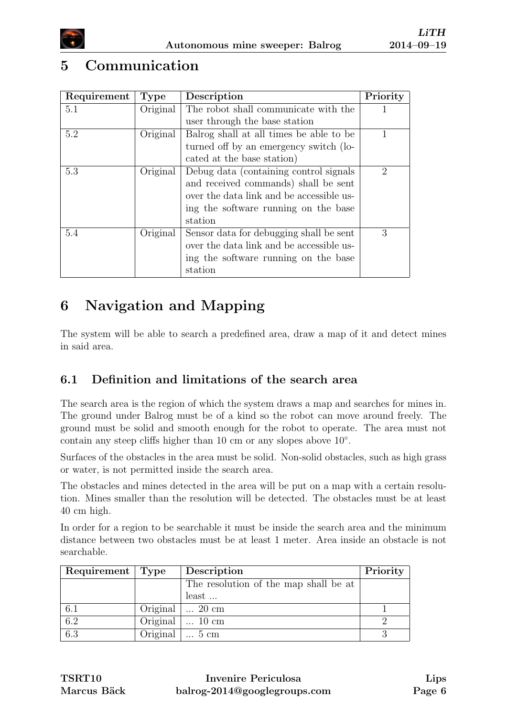

## <span id="page-9-0"></span>5 Communication

| Requirement | <b>Type</b> | Description                              | Priority                    |
|-------------|-------------|------------------------------------------|-----------------------------|
| 5.1         | Original    | The robot shall communicate with the     |                             |
|             |             | user through the base station            |                             |
| 5.2         | Original    | Balrog shall at all times be able to be  |                             |
|             |             | turned off by an emergency switch (lo-   |                             |
|             |             | cated at the base station)               |                             |
| 5.3         | Original    | Debug data (containing control signals)  | $\mathcal{D}_{\mathcal{L}}$ |
|             |             | and received commands) shall be sent     |                             |
|             |             | over the data link and be accessible us- |                             |
|             |             | ing the software running on the base     |                             |
|             |             | station                                  |                             |
| 5.4         | Original    | Sensor data for debugging shall be sent  | 3                           |
|             |             | over the data link and be accessible us- |                             |
|             |             | ing the software running on the base     |                             |
|             |             | station                                  |                             |

## <span id="page-9-1"></span>6 Navigation and Mapping

The system will be able to search a predefined area, draw a map of it and detect mines in said area.

### <span id="page-9-2"></span>6.1 Definition and limitations of the search area

The search area is the region of which the system draws a map and searches for mines in. The ground under Balrog must be of a kind so the robot can move around freely. The ground must be solid and smooth enough for the robot to operate. The area must not contain any steep cliffs higher than 10 cm or any slopes above  $10^{\circ}$ .

Surfaces of the obstacles in the area must be solid. Non-solid obstacles, such as high grass or water, is not permitted inside the search area.

The obstacles and mines detected in the area will be put on a map with a certain resolution. Mines smaller than the resolution will be detected. The obstacles must be at least 40 cm high.

In order for a region to be searchable it must be inside the search area and the minimum distance between two obstacles must be at least 1 meter. Area inside an obstacle is not searchable.

| Requirement   Type |          | Description                           | Priority |
|--------------------|----------|---------------------------------------|----------|
|                    |          | The resolution of the map shall be at |          |
|                    |          | least                                 |          |
| 6.1                | Original | $\ldots$ 20 cm                        |          |
| 6.2                | Original | $\ldots$ 10 cm                        |          |
| $\overline{6.3}$   | Original | $\ldots$ 5 cm                         |          |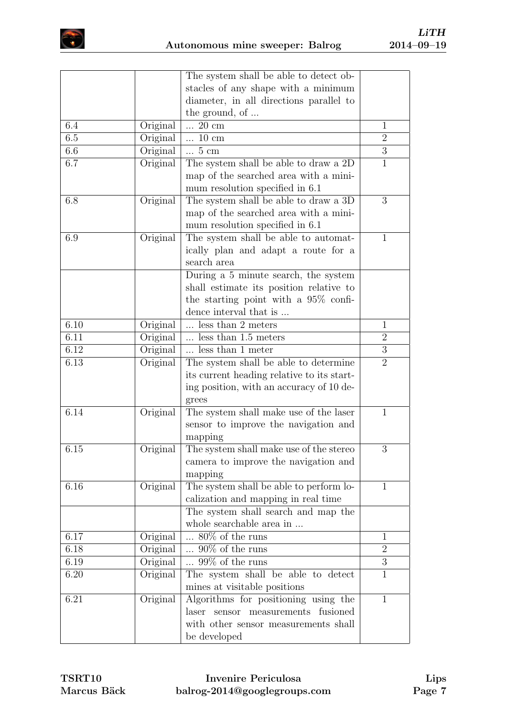

|          |          | The system shall be able to detect ob-     |                |
|----------|----------|--------------------------------------------|----------------|
|          |          | stacles of any shape with a minimum        |                |
|          |          | diameter, in all directions parallel to    |                |
|          |          | the ground, of                             |                |
| 6.4      | Original | $\ldots$ 20 cm                             | $\mathbf{1}$   |
| 6.5      | Original | $\ldots$ 10 cm                             | $\overline{2}$ |
| 6.6      | Original | $\ldots 5$ cm                              | 3              |
| 6.7      | Original | The system shall be able to draw a 2D      | $\mathbf{1}$   |
|          |          | map of the searched area with a mini-      |                |
|          |          | mum resolution specified in 6.1            |                |
| 6.8      | Original | The system shall be able to draw a 3D      | 3              |
|          |          | map of the searched area with a mini-      |                |
|          |          | $\,$ mum resolution specified in $6.1$     |                |
| 6.9      | Original | The system shall be able to automat-       | $\mathbf{1}$   |
|          |          | ically plan and adapt a route for a        |                |
|          |          | search area                                |                |
|          |          | During a 5 minute search, the system       |                |
|          |          | shall estimate its position relative to    |                |
|          |          | the starting point with a $95\%$ confi-    |                |
|          |          | dence interval that is                     |                |
| 6.10     | Original | less than 2 meters                         | $\mathbf{1}$   |
| 6.11     | Original | $\ldots$ less than 1.5 meters              | $\overline{2}$ |
| 6.12     | Original | $\overline{\ldots}$ less than 1 meter      | 3              |
| 6.13     | Original | The system shall be able to determine      | $\overline{2}$ |
|          |          | its current heading relative to its start- |                |
|          |          | ing position, with an accuracy of 10 de-   |                |
|          |          | grees                                      |                |
| 6.14     | Original | The system shall make use of the laser     | $\mathbf{1}$   |
|          |          | sensor to improve the navigation and       |                |
|          |          | mapping                                    |                |
| $6.15\,$ | Original | The system shall make use of the stereo    | $\mathfrak 3$  |
|          |          | camera to improve the navigation and       |                |
|          |          | mapping                                    |                |
| 6.16     | Original | The system shall be able to perform lo-    | $\mathbf{1}$   |
|          |          | calization and mapping in real time        |                |
|          |          | The system shall search and map the        |                |
|          |          | whole searchable area in                   |                |
| 6.17     | Original | $\ldots$ 80% of the runs                   | $\mathbf{1}$   |
| 6.18     | Original | $\ldots$ 90% of the runs                   | $\overline{2}$ |
| 6.19     | Original | $\ldots$ 99% of the runs                   | $\overline{3}$ |
| 6.20     | Original | The system shall be able to detect         | $\overline{1}$ |
|          |          | mines at visitable positions               |                |
| 6.21     | Original | Algorithms for positioning using the       | $\mathbf{1}$   |
|          |          | laser sensor measurements fusioned         |                |
|          |          | with other sensor measurements shall       |                |
|          |          | be developed                               |                |
|          |          |                                            |                |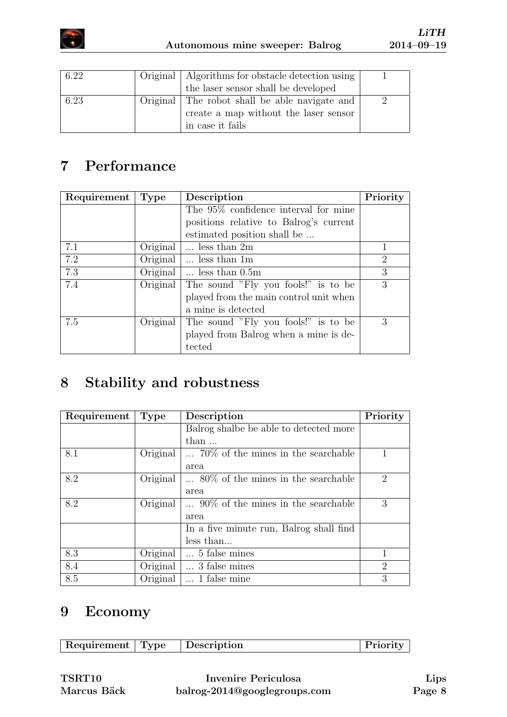

| 6.22 | Original   Algorithms for obstacle detection using |  |
|------|----------------------------------------------------|--|
|      | the laser sensor shall be developed                |  |
| 6.23 | Original The robot shall be able navigate and      |  |
|      | create a map without the laser sensor              |  |
|      | in case it fails                                   |  |

## <span id="page-11-0"></span>7 Performance

| Requirement | Type     | Description                            | Priority       |
|-------------|----------|----------------------------------------|----------------|
|             |          | The 95% confidence interval for mine   |                |
|             |          | positions relative to Balrog's current |                |
|             |          | estimated position shall be            |                |
| 7.1         | Original | $\ldots$ less than 2m                  | 1              |
| 7.2         | Original | $\ldots$ less than 1m.                 | $\overline{2}$ |
| 7.3         | Original | $\ldots$ less than $0.5m$              | 3              |
| 7.4         | Original | The sound "Fly you fools!" is to be    | 3              |
|             |          | played from the main control unit when |                |
|             |          | a mine is detected                     |                |
| 7.5         | Original | The sound "Fly you fools!" is to be    | 3              |
|             |          | played from Balrog when a mine is de-  |                |
|             |          | tected                                 |                |

## <span id="page-11-1"></span>8 Stability and robustness

| Requirement | <b>Type</b> | Description                                 | Priority       |
|-------------|-------------|---------------------------------------------|----------------|
|             |             | Balrog shalbe be able to detected more      |                |
|             |             | than                                        |                |
| 8.1         | Original    | $\ldots$ 70% of the mines in the searchable |                |
|             |             | area                                        |                |
| 8.2         | Original    | $\ldots$ 80% of the mines in the searchable | 2              |
|             |             | area                                        |                |
| 8.2         | Original    | $\ldots$ 90% of the mines in the searchable | 3              |
|             |             | area                                        |                |
|             |             | In a five minute run, Balrog shall find     |                |
|             |             | less than                                   |                |
| 8.3         | Original    | 5 false mines                               |                |
| 8.4         | Original    | 3 false mines                               | $\overline{2}$ |
| 8.5         | Original    | 1 false mine                                | 3              |

## <span id="page-11-2"></span>9 Economy

| scription<br>.<br>--- | Requirement | <b>Type</b> |  |  |
|-----------------------|-------------|-------------|--|--|
|-----------------------|-------------|-------------|--|--|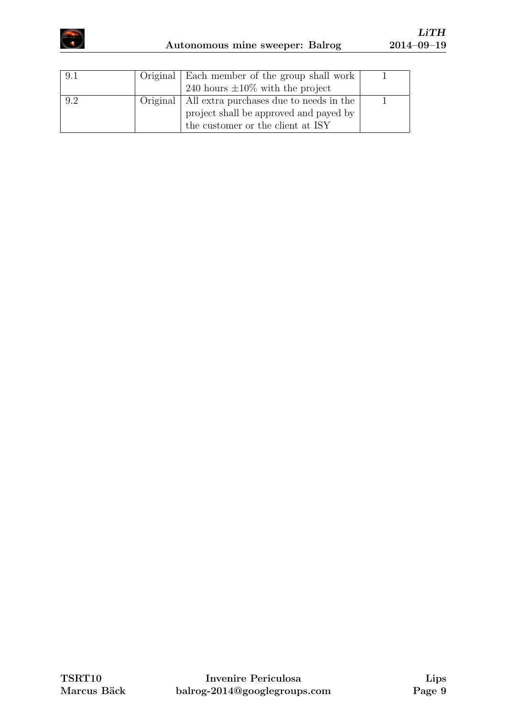

| 9.1 | Original   Each member of the group shall work  <br>240 hours $\pm 10\%$ with the project |  |
|-----|-------------------------------------------------------------------------------------------|--|
| 92  | Original   All extra purchases due to needs in the                                        |  |
|     | project shall be approved and payed by<br>the customer or the client at ISY               |  |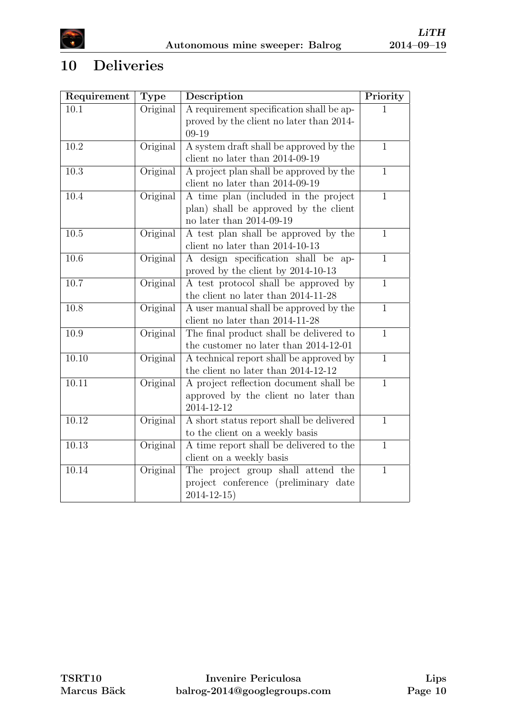

## <span id="page-13-0"></span>10 Deliveries

| Requirement | Type     | Description                              | Priority       |
|-------------|----------|------------------------------------------|----------------|
| 10.1        | Original | A requirement specification shall be ap- | 1              |
|             |          | proved by the client no later than 2014- |                |
|             |          | 09-19                                    |                |
| 10.2        | Original | A system draft shall be approved by the  | $\mathbf{1}$   |
|             |          | client no later than 2014-09-19          |                |
| 10.3        | Original | A project plan shall be approved by the  | $\mathbf{1}$   |
|             |          | client no later than 2014-09-19          |                |
| 10.4        | Original | A time plan (included in the project     | $\mathbf{1}$   |
|             |          | plan) shall be approved by the client    |                |
|             |          | no later than $2014-09-19$               |                |
| 10.5        | Original | A test plan shall be approved by the     | $\mathbf{1}$   |
|             |          | client no later than $2014-10-13$        |                |
| 10.6        | Original | A design specification shall be ap-      | $\mathbf{1}$   |
|             |          | proved by the client by 2014-10-13       |                |
| 10.7        | Original | A test protocol shall be approved by     | $\mathbf{1}$   |
|             |          | the client no later than 2014-11-28      |                |
| 10.8        | Original | A user manual shall be approved by the   | $\mathbf{1}$   |
|             |          | client no later than 2014-11-28          |                |
| 10.9        | Original | The final product shall be delivered to  | $\mathbf{1}$   |
|             |          | the customer no later than 2014-12-01    |                |
| 10.10       | Original | A technical report shall be approved by  | $\overline{1}$ |
|             |          | the client no later than 2014-12-12      |                |
| 10.11       | Original | A project reflection document shall be   | $\mathbf{1}$   |
|             |          | approved by the client no later than     |                |
|             |          | 2014-12-12                               |                |
| 10.12       | Original | A short status report shall be delivered | $\mathbf{1}$   |
|             |          | to the client on a weekly basis          |                |
| 10.13       | Original | A time report shall be delivered to the  | $\mathbf{1}$   |
|             |          | client on a weekly basis                 |                |
| 10.14       | Original | The project group shall attend the       | $\mathbf{1}$   |
|             |          | project conference (preliminary date     |                |
|             |          | $2014 - 12 - 15$                         |                |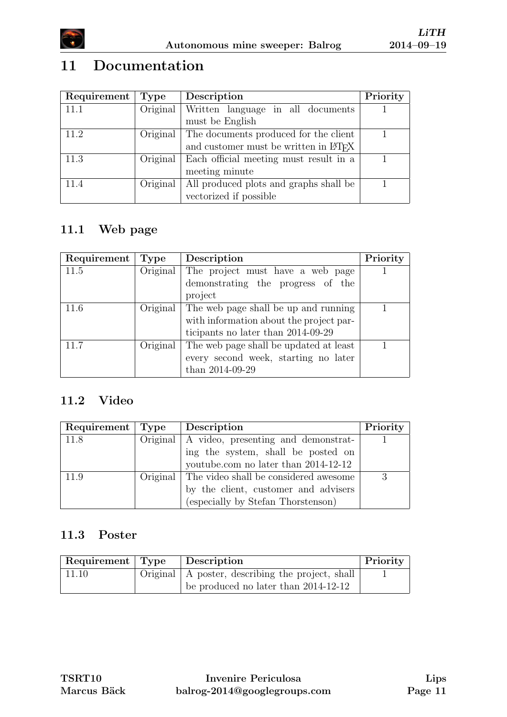

## <span id="page-14-0"></span>11 Documentation

| Requirement | Type     | Description                                        | Priority |
|-------------|----------|----------------------------------------------------|----------|
| 11.1        | Original | Written language in all documents                  |          |
|             |          | must be English                                    |          |
| 11.2        | Original | The documents produced for the client              |          |
|             |          | and customer must be written in L <sup>AT</sup> FX |          |
| 11.3        | Original | Each official meeting must result in a             |          |
|             |          | meeting minute                                     |          |
| 11.4        | Original | All produced plots and graphs shall be             |          |
|             |          | vectorized if possible                             |          |

### <span id="page-14-1"></span>11.1 Web page

| Requirement | Type     | Description                             | Priority |
|-------------|----------|-----------------------------------------|----------|
| 11.5        | Original | The project must have a web page        |          |
|             |          | demonstrating the progress of the       |          |
|             |          | project                                 |          |
| 11.6        | Original | The web page shall be up and running    |          |
|             |          | with information about the project par- |          |
|             |          | ticipants no later than 2014-09-29      |          |
| 11.7        | Original | The web page shall be updated at least  |          |
|             |          | every second week, starting no later    |          |
|             |          | than 2014-09-29                         |          |

### <span id="page-14-2"></span>11.2 Video

| Requirement | $\Gamma$ Type | Description                                      | Priority |
|-------------|---------------|--------------------------------------------------|----------|
| 11.8        | Original      | A video, presenting and demonstrat-              |          |
|             |               | ing the system, shall be posted on               |          |
|             |               | youtube.com no later than 2014-12-12             |          |
| 11.9        |               | Original   The video shall be considered awesome |          |
|             |               | by the client, customer and advisers             |          |
|             |               | (especially by Stefan Thorstenson)               |          |

#### <span id="page-14-3"></span>11.3 Poster

| Requirement   Type | <b>Description</b>                                 | Priority |
|--------------------|----------------------------------------------------|----------|
| 11.10              | Original   A poster, describing the project, shall |          |
|                    | be produced no later than 2014-12-12               |          |